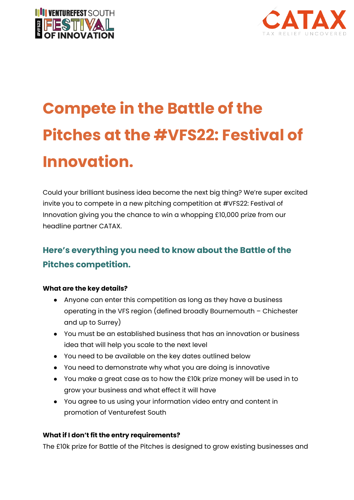



# **Compete in the Battle of the Pitches at the #VFS22: Festival of Innovation.**

Could your brilliant business idea become the next big thing? We're super excited invite you to compete in a new pitching competition at #VFS22: Festival of Innovation giving you the chance to win a whopping £10,000 prize from our headline partner CATAX.

# **Here's everything you need to know about the Battle of the Pitches competition.**

## **What are the key details?**

- Anyone can enter this competition as long as they have a business operating in the VFS region (defined broadly Bournemouth – Chichester and up to Surrey)
- You must be an established business that has an innovation or business idea that will help you scale to the next level
- You need to be available on the key dates outlined below
- You need to demonstrate why what you are doing is innovative
- You make a great case as to how the £10k prize money will be used in to grow your business and what effect it will have
- You agree to us using your information video entry and content in promotion of Venturefest South

## **What if I don't fit the entry requirements?**

The £10k prize for Battle of the Pitches is designed to grow existing businesses and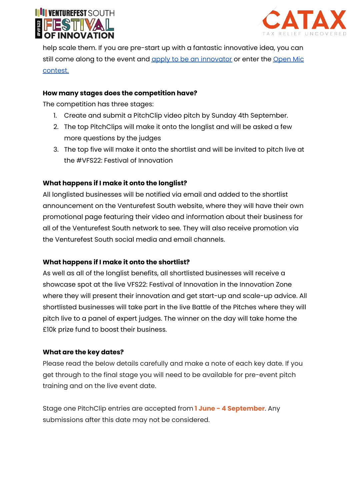



help scale them. If you are pre-start up with a fantastic innovative idea, you can still come along to the event and apply to be an [innovator](https://venturefestsouth.co.uk/innovator-application) or enter the [Open](https://venturefestsouth.co.uk/news/open-mic-at-vfs-festival-of-innovation) Mic [contest.](https://venturefestsouth.co.uk/news/open-mic-at-vfs-festival-of-innovation)

#### **How many stages does the competition have?**

The competition has three stages:

- 1. Create and submit a PitchClip video pitch by Sunday 4th September.
- 2. The top PitchClips will make it onto the longlist and will be asked a few more questions by the judges
- 3. The top five will make it onto the shortlist and will be invited to pitch live at the #VFS22: Festival of Innovation

#### **What happens if I make it onto the longlist?**

All longlisted businesses will be notified via email and added to the shortlist announcement on the Venturefest South website, where they will have their own promotional page featuring their video and information about their business for all of the Venturefest South network to see. They will also receive promotion via the Venturefest South social media and email channels.

#### **What happens if I make it onto the shortlist?**

As well as all of the longlist benefits, all shortlisted businesses will receive a showcase spot at the live VFS22: Festival of Innovation in the Innovation Zone where they will present their innovation and get start-up and scale-up advice. All shortlisted businesses will take part in the live Battle of the Pitches where they will pitch live to a panel of expert judges. The winner on the day will take home the £10k prize fund to boost their business.

#### **What are the key dates?**

Please read the below details carefully and make a note of each key date. If you get through to the final stage you will need to be available for pre-event pitch training and on the live event date.

Stage one PitchClip entries are accepted from **1 June - 4 September**. Any submissions after this date may not be considered.